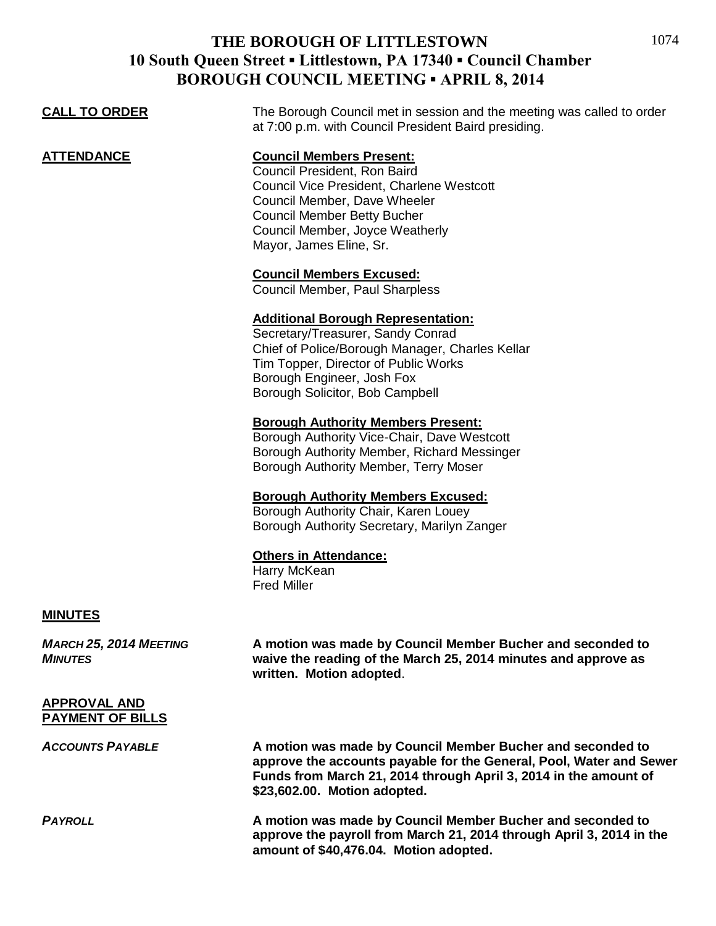# **THE BOROUGH OF LITTLESTOWN 10 South Queen Street ▪ Littlestown, PA 17340 ▪ Council Chamber BOROUGH COUNCIL MEETING ▪ APRIL 8, 2014**

| <b>CALL TO ORDER</b>                            | The Borough Council met in session and the meeting was called to order                                                                                                                                                                           |
|-------------------------------------------------|--------------------------------------------------------------------------------------------------------------------------------------------------------------------------------------------------------------------------------------------------|
|                                                 | at 7:00 p.m. with Council President Baird presiding.                                                                                                                                                                                             |
| <b>ATTENDANCE</b>                               | <b>Council Members Present:</b><br>Council President, Ron Baird<br>Council Vice President, Charlene Westcott<br>Council Member, Dave Wheeler<br><b>Council Member Betty Bucher</b><br>Council Member, Joyce Weatherly<br>Mayor, James Eline, Sr. |
|                                                 | <b>Council Members Excused:</b><br>Council Member, Paul Sharpless                                                                                                                                                                                |
|                                                 | <b>Additional Borough Representation:</b><br>Secretary/Treasurer, Sandy Conrad<br>Chief of Police/Borough Manager, Charles Kellar<br>Tim Topper, Director of Public Works<br>Borough Engineer, Josh Fox<br>Borough Solicitor, Bob Campbell       |
|                                                 | <b>Borough Authority Members Present:</b><br>Borough Authority Vice-Chair, Dave Westcott<br>Borough Authority Member, Richard Messinger<br>Borough Authority Member, Terry Moser                                                                 |
|                                                 | <b>Borough Authority Members Excused:</b><br>Borough Authority Chair, Karen Louey<br>Borough Authority Secretary, Marilyn Zanger                                                                                                                 |
|                                                 | <b>Others in Attendance:</b><br>Harry McKean<br><b>Fred Miller</b>                                                                                                                                                                               |
| <b>MINUTES</b>                                  |                                                                                                                                                                                                                                                  |
| <b>MARCH 25, 2014 MEETING</b><br><b>MINUTES</b> | A motion was made by Council Member Bucher and seconded to<br>waive the reading of the March 25, 2014 minutes and approve as<br>written. Motion adopted.                                                                                         |
| <b>APPROVAL AND</b><br><b>PAYMENT OF BILLS</b>  |                                                                                                                                                                                                                                                  |
| <b>ACCOUNTS PAYABLE</b>                         | A motion was made by Council Member Bucher and seconded to<br>approve the accounts payable for the General, Pool, Water and Sewer<br>Funds from March 21, 2014 through April 3, 2014 in the amount of<br>\$23,602.00. Motion adopted.            |
| <b>PAYROLL</b>                                  | A motion was made by Council Member Bucher and seconded to<br>approve the payroll from March 21, 2014 through April 3, 2014 in the<br>amount of \$40,476.04. Motion adopted.                                                                     |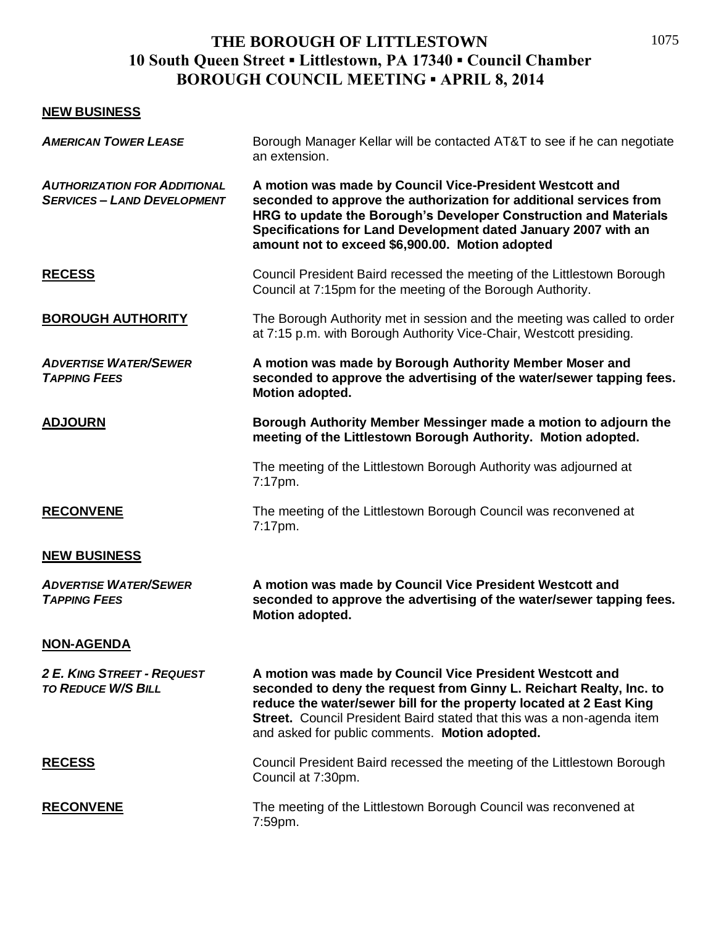# **THE BOROUGH OF LITTLESTOWN 10 South Queen Street ▪ Littlestown, PA 17340 ▪ Council Chamber BOROUGH COUNCIL MEETING ▪ APRIL 8, 2014**

### **NEW BUSINESS**

| Borough Manager Kellar will be contacted AT&T to see if he can negotiate<br>an extension.                                                                                                                                                                                                                                          |
|------------------------------------------------------------------------------------------------------------------------------------------------------------------------------------------------------------------------------------------------------------------------------------------------------------------------------------|
| A motion was made by Council Vice-President Westcott and<br>seconded to approve the authorization for additional services from<br>HRG to update the Borough's Developer Construction and Materials<br>Specifications for Land Development dated January 2007 with an<br>amount not to exceed \$6,900.00. Motion adopted            |
| Council President Baird recessed the meeting of the Littlestown Borough<br>Council at 7:15pm for the meeting of the Borough Authority.                                                                                                                                                                                             |
| The Borough Authority met in session and the meeting was called to order<br>at 7:15 p.m. with Borough Authority Vice-Chair, Westcott presiding.                                                                                                                                                                                    |
| A motion was made by Borough Authority Member Moser and<br>seconded to approve the advertising of the water/sewer tapping fees.<br>Motion adopted.                                                                                                                                                                                 |
| Borough Authority Member Messinger made a motion to adjourn the<br>meeting of the Littlestown Borough Authority. Motion adopted.                                                                                                                                                                                                   |
| The meeting of the Littlestown Borough Authority was adjourned at<br>7:17pm.                                                                                                                                                                                                                                                       |
| The meeting of the Littlestown Borough Council was reconvened at<br>7:17pm.                                                                                                                                                                                                                                                        |
|                                                                                                                                                                                                                                                                                                                                    |
| A motion was made by Council Vice President Westcott and<br>seconded to approve the advertising of the water/sewer tapping fees.<br>Motion adopted.                                                                                                                                                                                |
|                                                                                                                                                                                                                                                                                                                                    |
| A motion was made by Council Vice President Westcott and<br>seconded to deny the request from Ginny L. Reichart Realty, Inc. to<br>reduce the water/sewer bill for the property located at 2 East King<br>Street. Council President Baird stated that this was a non-agenda item<br>and asked for public comments. Motion adopted. |
| Council President Baird recessed the meeting of the Littlestown Borough<br>Council at 7:30pm.                                                                                                                                                                                                                                      |
| The meeting of the Littlestown Borough Council was reconvened at<br>7:59pm.                                                                                                                                                                                                                                                        |
|                                                                                                                                                                                                                                                                                                                                    |